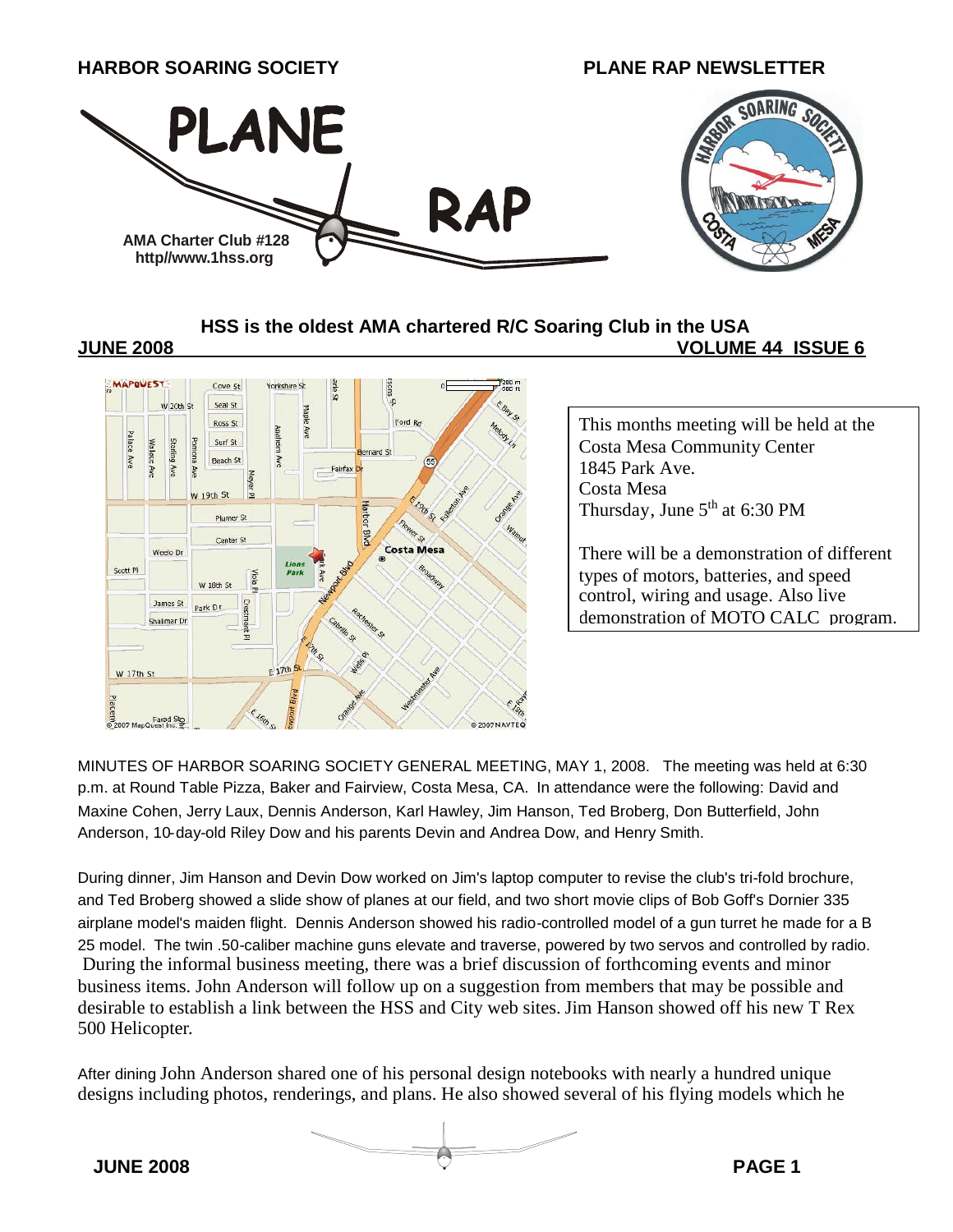

#### **HSS is the oldest AMA chartered R/C Soaring Club in the USA**

#### **JUNE 2008 VOLUME 44 ISSUE 6**



This months meeting will be held at the Costa Mesa Community Center 1845 Park Ave. Costa Mesa Thursday, June 5<sup>th</sup> at 6:30 PM

There will be a demonstration of different types of motors, batteries, and speed control, wiring and usage. Also live demonstration of MOTO CALC program.

MINUTES OF HARBOR SOARING SOCIETY GENERAL MEETING, MAY 1, 2008. The meeting was held at 6:30 p.m. at Round Table Pizza, Baker and Fairview, Costa Mesa, CA. In attendance were the following: David and Maxine Cohen, Jerry Laux, Dennis Anderson, Karl Hawley, Jim Hanson, Ted Broberg, Don Butterfield, John Anderson, 10-day-old Riley Dow and his parents Devin and Andrea Dow, and Henry Smith.

During dinner, Jim Hanson and Devin Dow worked on Jim's laptop computer to revise the club's tri-fold brochure, and Ted Broberg showed a slide show of planes at our field, and two short movie clips of Bob Goff's Dornier 335 airplane model's maiden flight. Dennis Anderson showed his radio-controlled model of a gun turret he made for a B 25 model. The twin .50-caliber machine guns elevate and traverse, powered by two servos and controlled by radio. During the informal business meeting, there was a brief discussion of forthcoming events and minor business items. John Anderson will follow up on a suggestion from members that may be possible and desirable to establish a link between the HSS and City web sites. Jim Hanson showed off his new T Rex 500 Helicopter.

After dining John Anderson shared one of his personal design notebooks with nearly a hundred unique designs including photos, renderings, and plans. He also showed several of his flying models which he

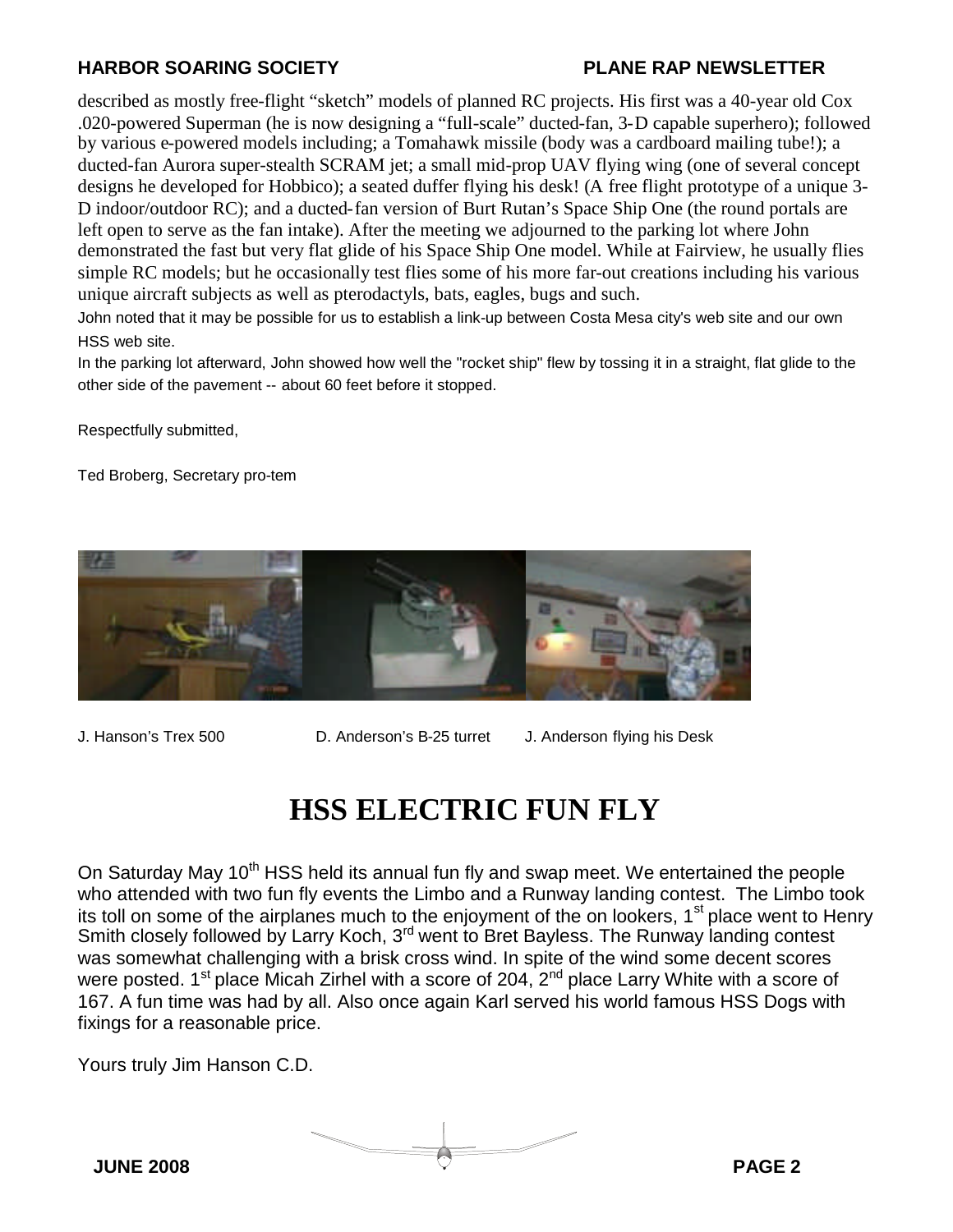#### **HARBOR SOARING SOCIETY PLANE RAP NEWSLETTER**

described as mostly free-flight "sketch" models of planned RC projects. His first was a 40-year old Cox .020-powered Superman (he is now designing a "full-scale" ducted-fan, 3-D capable superhero); followed by various e-powered models including; a Tomahawk missile (body was a cardboard mailing tube!); a ducted-fan Aurora super-stealth SCRAM jet; a small mid-prop UAV flying wing (one of several concept designs he developed for Hobbico); a seated duffer flying his desk! (A free flight prototype of a unique 3- D indoor/outdoor RC); and a ducted-fan version of Burt Rutan's Space Ship One (the round portals are left open to serve as the fan intake). After the meeting we adjourned to the parking lot where John demonstrated the fast but very flat glide of his Space Ship One model. While at Fairview, he usually flies simple RC models; but he occasionally test flies some of his more far-out creations including his various unique aircraft subjects as well as pterodactyls, bats, eagles, bugs and such.

John noted that it may be possible for us to establish a link-up between Costa Mesa city's web site and our own HSS web site.

In the parking lot afterward, John showed how well the "rocket ship" flew by tossing it in a straight, flat glide to the other side of the pavement -- about 60 feet before it stopped.

Respectfully submitted,

Ted Broberg, Secretary pro-tem



J. Hanson's Trex 500 D. Anderson's B-25 turret J. Anderson flying his Desk

### **HSS ELECTRIC FUN FLY**

On Saturday May 10<sup>th</sup> HSS held its annual fun fly and swap meet. We entertained the people who attended with two fun fly events the Limbo and a Runway landing contest. The Limbo took its toll on some of the airplanes much to the enjoyment of the on lookers, 1<sup>st</sup> place went to Henry Smith closely followed by Larry Koch, 3<sup>rd</sup> went to Bret Bayless. The Runway landing contest was somewhat challenging with a brisk cross wind. In spite of the wind some decent scores were posted.  $1^{st}$  place Micah Zirhel with a score of 204,  $2^{nd}$  place Larry White with a score of 167. A fun time was had by all. Also once again Karl served his world famous HSS Dogs with fixings for a reasonable price.

Yours truly Jim Hanson C.D.

**JUNE 2008 PAGE 2**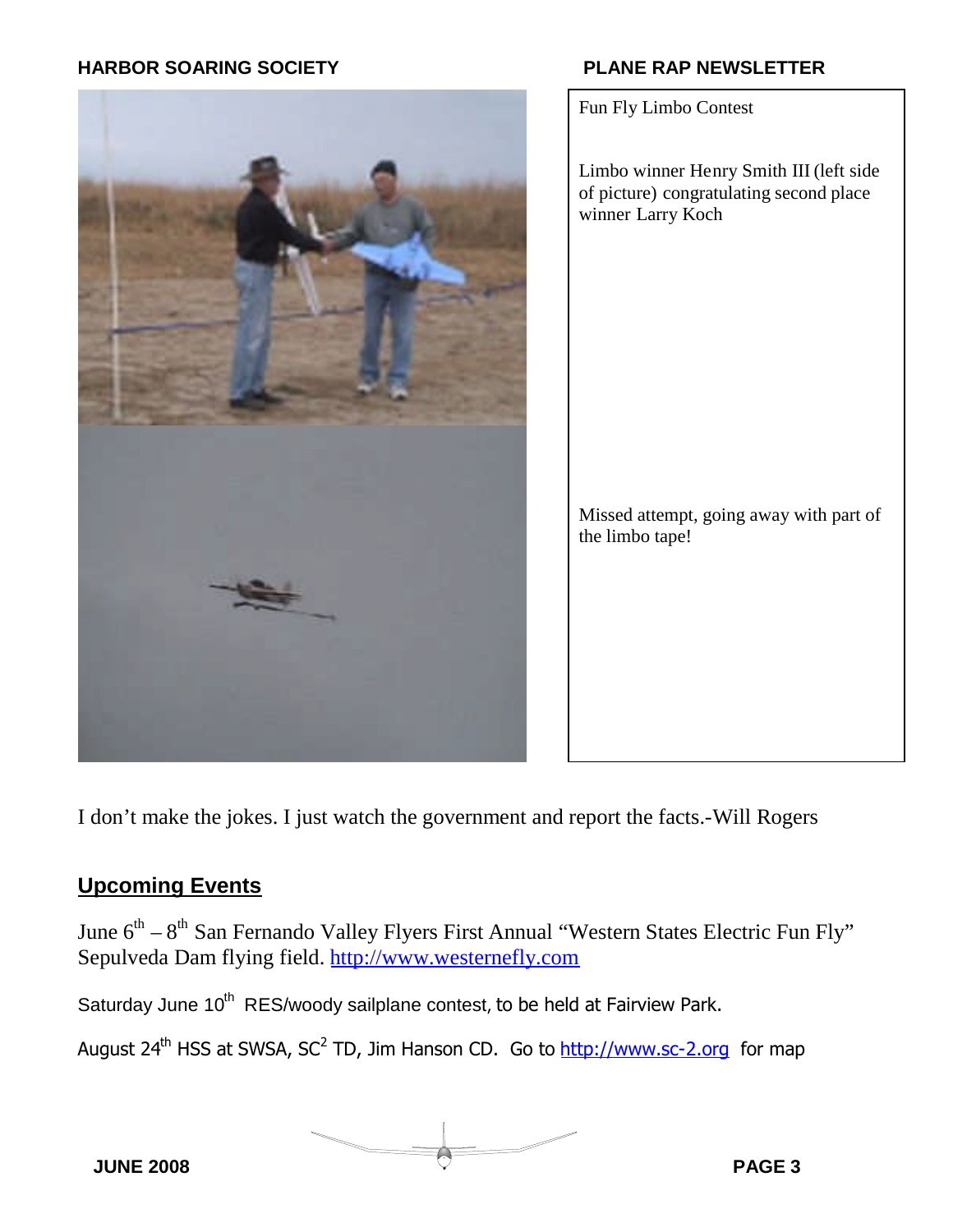#### **HARBOR SOARING SOCIETY PLANE RAP NEWSLETTER**



Fun Fly Limbo Contest Limbo winner Henry Smith III (left side of picture) congratulating second place winner Larry Koch Missed attempt, going away with part of the limbo tape!

I don't make the jokes. I just watch the government and report the facts.-Will Rogers

#### **Upcoming Events**

June  $6^{\text{th}} - 8^{\text{th}}$  San Fernando Valley Flyers First Annual "Western States Electric Fun Fly" Sepulveda Dam flying field. [http://www.westernefly.com](http://www.westernefly.com/)

Saturday June 10<sup>th</sup> RES/woody sailplane contest, to be held at Fairview Park.

August 24<sup>th</sup> HSS at SWSA, SC<sup>2</sup> TD, Jim Hanson CD. Go to [http://www.sc-2.org](http://www.sc-2.org/) for map

**JUNE 2008 PAGE 3**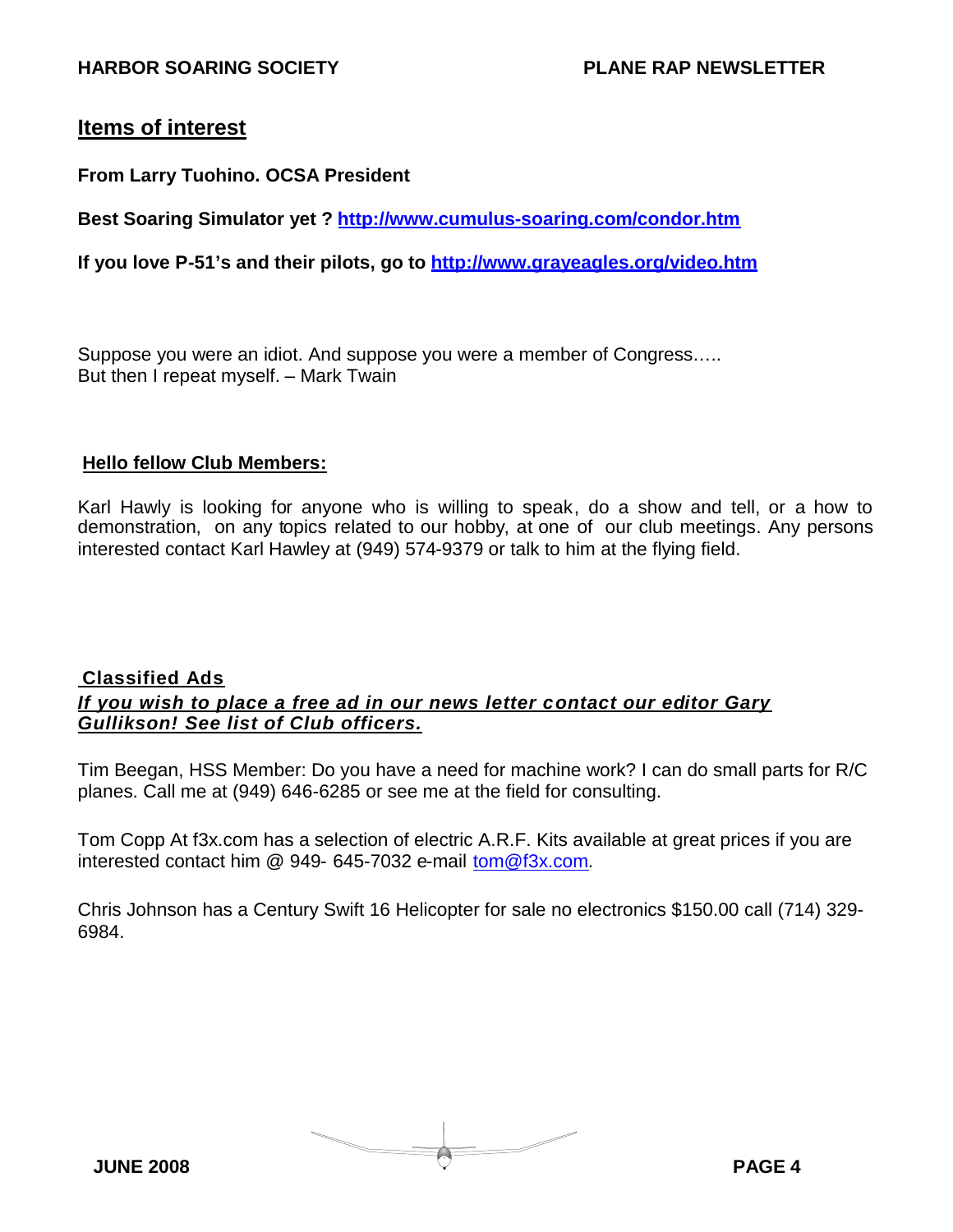#### **Items of interest**

**From Larry Tuohino. OCSA President**

**Best Soaring Simulator yet ? <http://www.cumulus-soaring.com/condor.htm>**

**If you love P-51's and their pilots, go to <http://www.grayeagles.org/video.htm>**

Suppose you were an idiot. And suppose you were a member of Congress….. But then I repeat myself. – Mark Twain

#### **Hello fellow Club Members:**

Karl Hawly is looking for anyone who is willing to speak, do a show and tell, or a how to demonstration, on any topics related to our hobby, at one of our club meetings. Any persons interested contact Karl Hawley at (949) 574-9379 or talk to him at the flying field.

#### **Classified Ads** *If you wish to place a free ad in our news letter contact our editor Gary Gullikson! See list of Club officers.*

Tim Beegan, HSS Member: Do you have a need for machine work? I can do small parts for R/C planes. Call me at (949) 646-6285 or see me at the field for consulting.

Tom Copp At f3x.com has a selection of electric A.R.F. Kits available at great prices if you are interested contact him @ 949- 645-7032 e-mail [tom@f3x.com.](mailto:tom@f3x.com)

Chris Johnson has a Century Swift 16 Helicopter for sale no electronics \$150.00 call (714) 329- 6984.

**JUNE 2008 PAGE 4**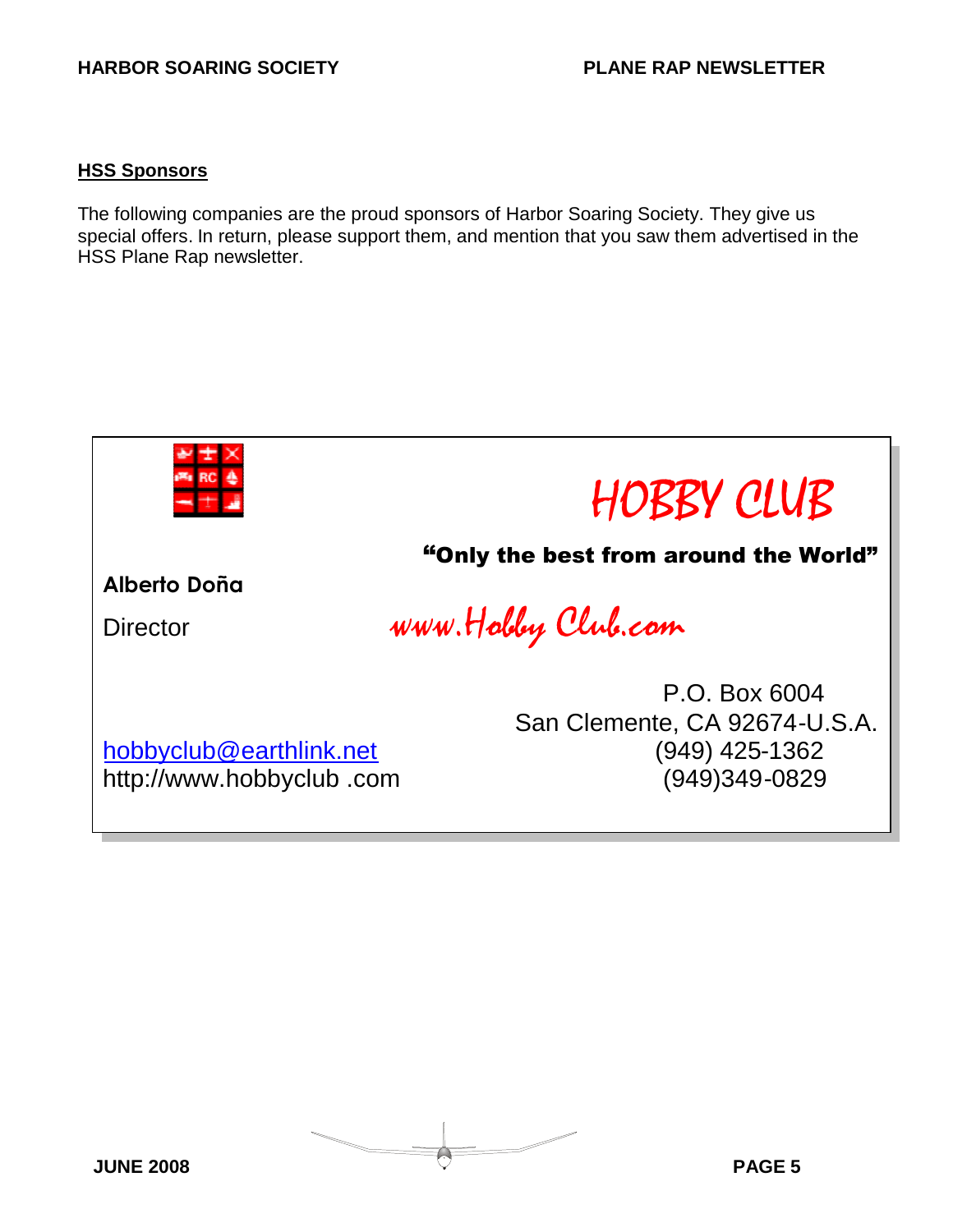#### **HSS Sponsors**

The following companies are the proud sponsors of Harbor Soaring Society. They give us special offers. In return, please support them, and mention that you saw them advertised in the HSS Plane Rap newsletter.



**JUNE 2008 PAGE 5**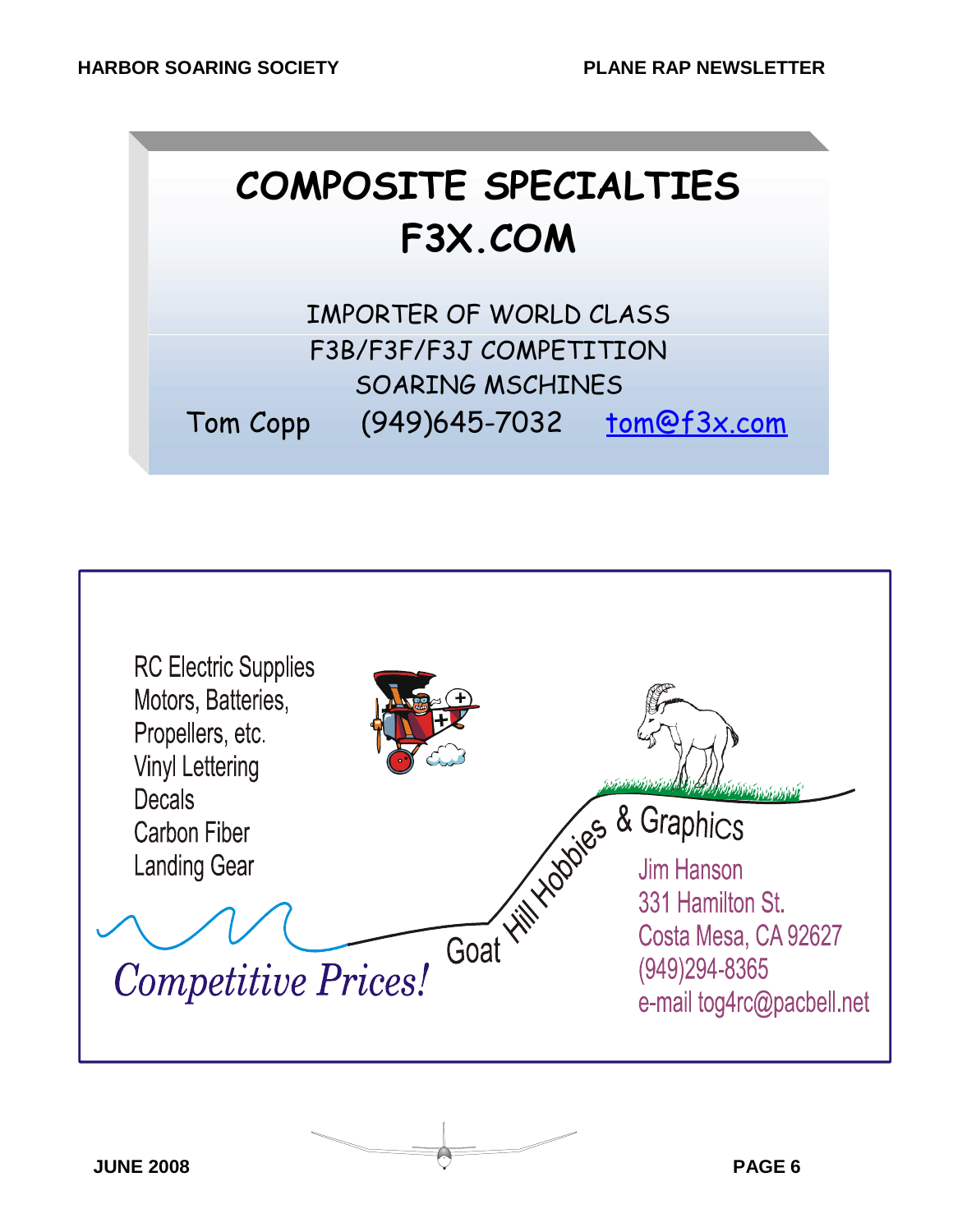# **COMPOSITE SPECIALTIES F3X.COM**

IMPORTER OF WORLD CLASS F3B/F3F/F3J COMPETITION SOARING MSCHINES Tom Copp (949)645-7032 tom@f3x.com



**JUNE 2008 PAGE 6**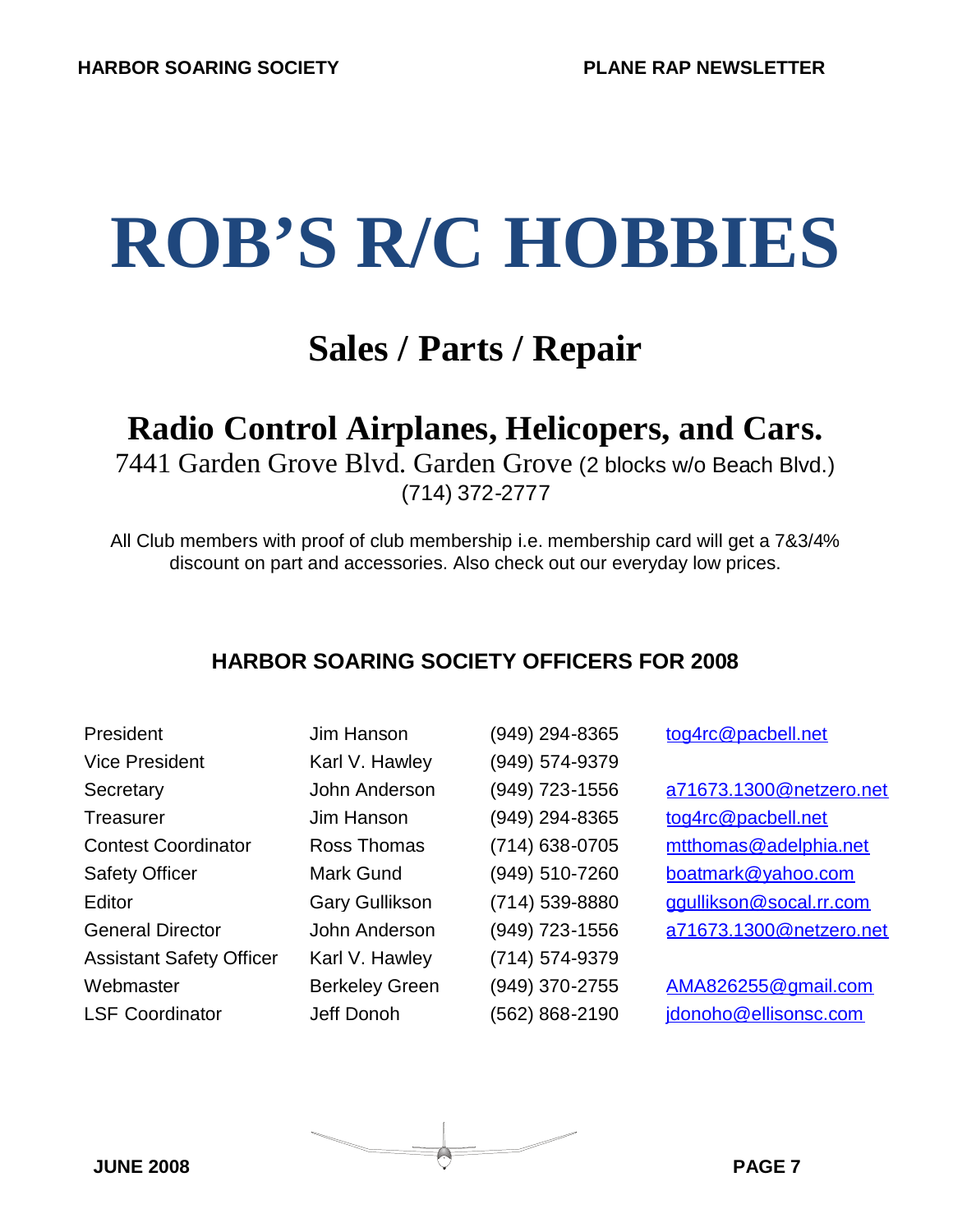# **ROB'S R/C HOBBIES**

# **Sales / Parts / Repair**

## **Radio Control Airplanes, Helicopers, and Cars.**

7441 Garden Grove Blvd. Garden Grove (2 blocks w/o Beach Blvd.) (714) 372-2777

All Club members with proof of club membership i.e. membership card will get a 7&3/4% discount on part and accessories. Also check out our everyday low prices.

#### **HARBOR SOARING SOCIETY OFFICERS FOR 2008**

Vice President Karl V. Hawley (949) 574-9379 Treasurer Jim Hanson (949) 294-8365 [tog4rc@pacbell.net](mailto:tog4rc@pacbell.net) Safety Officer Mark Gund (949) 510-7260 boatmark@yahoo.com Assistant Safety Officer Karl V. Hawley (714) 574-9379 Webmaster Berkeley Green (949) 370-2755 [AMA826255@gmail.com](mailto:AMA826255@gmail.com)

President Jim Hanson (949) 294-8365 [tog4rc@pacbell.net](mailto:tog4rc@pacbell.net)

Secretary John Anderson (949) 723-1556 a71673.1300@netzero.net Contest Coordinator Ross Thomas (714) 638-0705 mtthomas@adelphia.net Editor Gary Gullikson (714) 539-8880 [ggullikson@socal.rr.com](mailto:ggullikson@socal.rr.com) General Director John Anderson (949) 723-1556 a71673.1300@netzero.net

LSF Coordinator deff Donoh (562) 868-2190 [jdonoho@ellisonsc.com](mailto:jdonoho@ellisonsc.com)

**JUNE 2008 PAGE 7**